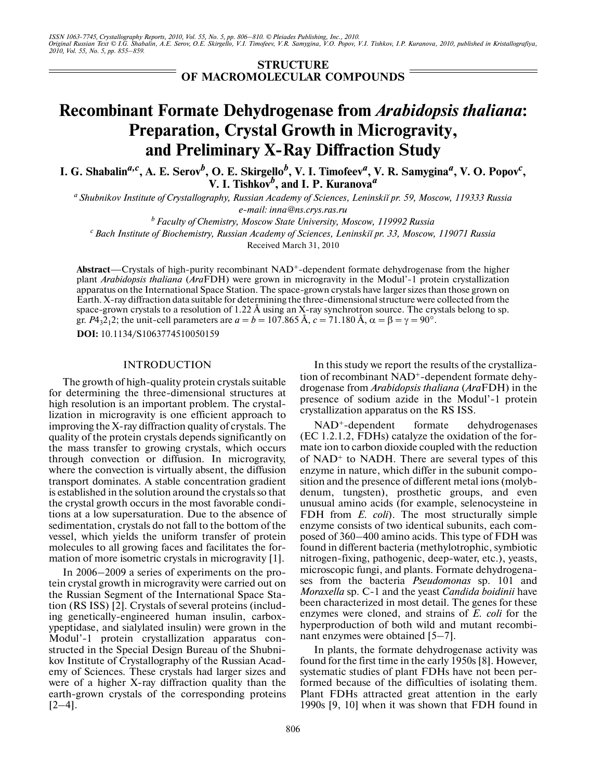*ISSN 1063-7745, Crystallography Reports, 2010, Vol. 55, No. 5, pp. 806–810. © Pleiades Publishing, Inc., 2010. Original Russian Text © I.G. Shabalin, A.E. Serov, O.E. Skirgello, V.I. Timofeev, V.R. Samygina, V.O. Popov, V.I. Tishkov, I.P. Kuranova, 2010, published in Kristallografiya, 2010, Vol. 55, No. 5, pp. 855–859.*

> **STRUCTURE OF MACROMOLECULAR COMPOUNDS**

# **Recombinant Formate Dehydrogenase from** *Arabidopsis thaliana***: Preparation, Crystal Growth in Microgravity, and Preliminary X-Ray Diffraction Study**

**I. G. Shabalin***a,c***, A. E. Serov***<sup>b</sup>* **, O. E. Skirgello***<sup>b</sup>* **, V. I. Timofeev***<sup>a</sup>* **, V. R. Samygina***<sup>a</sup>* **, V. O. Popov***<sup>c</sup>* **, V.** I. Tishkov<sup>*b*</sup>, and I. P. Kuranova<sup>*a*</sup>

*a Shubnikov Institute of Crystallography, Russian Academy of Sciences, Leninskiі pr. 59, Moscow, 119333 Russia e-mail: inna@ns.crys.ras.ru*

*b Faculty of Chemistry, Moscow State University, Moscow, 119992 Russia*

*c Bach Institute of Biochemistry, Russian Academy of Sciences, Leninskiі pr. 33, Moscow, 119071 Russia*

Received March 31, 2010

Abstract—Crystals of high-purity recombinant NAD<sup>+</sup>-dependent formate dehydrogenase from the higher plant *Arabidopsis thaliana* (*Ara*FDH) were grown in microgravity in the Modul'-1 protein crystallization apparatus on the International Space Station. The space-grown crystals have larger sizes than those grown on Earth. X-ray diffraction data suitable for determining the three-dimensional structure were collected from the space-grown crystals to a resolution of 1.22 Å using an X-ray synchrotron source. The crystals belong to sp. gr. *P*4<sub>3</sub>2<sub>1</sub>2; the unit-cell parameters are  $a = b = 107.865$  Å,  $c = 71.180$  Å,  $\alpha = \beta = \gamma = 90^{\circ}$ .

**DOI:** 10.1134/S1063774510050159

## INTRODUCTION

The growth of high-quality protein crystals suitable for determining the three-dimensional structures at high resolution is an important problem. The crystal lization in microgravity is one efficient approach to improving the X-ray diffraction quality of crystals. The quality of the protein crystals depends significantly on the mass transfer to growing crystals, which occurs through convection or diffusion. In microgravity, where the convection is virtually absent, the diffusion transport dominates. A stable concentration gradient is established in the solution around the crystals so that the crystal growth occurs in the most favorable condi tions at a low supersaturation. Due to the absence of sedimentation, crystals do not fall to the bottom of the vessel, which yields the uniform transfer of protein molecules to all growing faces and facilitates the for mation of more isometric crystals in microgravity [1].

In 2006–2009 a series of experiments on the pro tein crystal growth in microgravity were carried out on the Russian Segment of the International Space Sta tion (RS ISS) [2]. Crystals of several proteins (includ ing genetically-engineered human insulin, carbox ypeptidase, and sialylated insulin) were grown in the Modul'-1 protein crystallization apparatus con structed in the Special Design Bureau of the Shubni kov Institute of Crystallography of the Russian Acad emy of Sciences. These crystals had larger sizes and were of a higher X-ray diffraction quality than the earth-grown crystals of the corresponding proteins  $[2-4]$ .

In this study we report the results of the crystalliza tion of recombinant NAD+-dependent formate dehy drogenase from *Arabidopsis thaliana* (*Ara*FDH) in the presence of sodium azide in the Modul'-1 protein crystallization apparatus on the RS ISS.

 $NAD^+$ -dependent formate dehydrogenases (EC 1.2.1.2, FDHs) catalyze the oxidation of the for mate ion to carbon dioxide coupled with the reduction of  $NAD<sup>+</sup>$  to  $NADH$ . There are several types of this enzyme in nature, which differ in the subunit compo sition and the presence of different metal ions (molyb denum, tungsten), prosthetic groups, and even unusual amino acids (for example, selenocysteine in FDH from *E. coli*). The most structurally simple enzyme consists of two identical subunits, each com posed of 360–400 amino acids. This type of FDH was found in different bacteria (methylotrophic, symbiotic nitrogen-fixing, pathogenic, deep-water, etc.), yeasts, microscopic fungi, and plants. Formate dehydrogena ses from the bacteria *Pseudomonas* sp. 101 and *Moraxella* sp. C-1 and the yeast *Candida boidinii* have been characterized in most detail. The genes for these enzymes were cloned, and strains of *E. coli* for the hyperproduction of both wild and mutant recombi nant enzymes were obtained [5–7].

In plants, the formate dehydrogenase activity was found for the first time in the early 1950s [8]. However, systematic studies of plant FDHs have not been per formed because of the difficulties of isolating them. Plant FDHs attracted great attention in the early 1990s [9, 10] when it was shown that FDH found in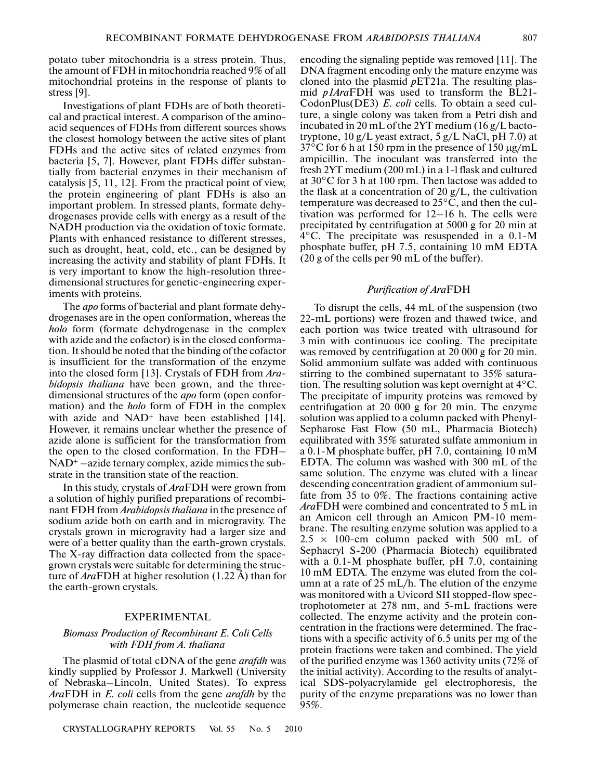potato tuber mitochondria is a stress protein. Thus, the amount of FDH in mitochondria reached 9% of all mitochondrial proteins in the response of plants to stress [9].

Investigations of plant FDHs are of both theoreti cal and practical interest. A comparison of the amino acid sequences of FDHs from different sources shows the closest homology between the active sites of plant FDHs and the active sites of related enzymes from bacteria [5, 7]. However, plant FDHs differ substan tially from bacterial enzymes in their mechanism of catalysis [5, 11, 12]. From the practical point of view, the protein engineering of plant FDHs is also an important problem. In stressed plants, formate dehy drogenases provide cells with energy as a result of the NADH production via the oxidation of toxic formate. Plants with enhanced resistance to different stresses, such as drought, heat, cold, etc., can be designed by increasing the activity and stability of plant FDHs. It is very important to know the high-resolution three dimensional structures for genetic-engineering exper iments with proteins.

The *apo* forms of bacterial and plant formate dehy drogenases are in the open conformation, whereas the *holo* form (formate dehydrogenase in the complex with azide and the cofactor) is in the closed conforma tion. It should be noted that the binding of the cofactor is insufficient for the transformation of the enzyme into the closed form [13]. Crystals of FDH from *Ara bidopsis thaliana* have been grown, and the three dimensional structures of the *apo* form (open confor mation) and the *holo* form of FDH in the complex with azide and  $NAD<sup>+</sup>$  have been established [14]. However, it remains unclear whether the presence of azide alone is sufficient for the transformation from the open to the closed conformation. In the FDH–  $NAD<sup>+</sup>$  –azide ternary complex, azide mimics the substrate in the transition state of the reaction.

In this study, crystals of *Ara*FDH were grown from a solution of highly purified preparations of recombi nant FDH from *Arabidopsis thaliana* in the presence of sodium azide both on earth and in microgravity. The crystals grown in microgravity had a larger size and were of a better quality than the earth-grown crystals. The X-ray diffraction data collected from the space grown crystals were suitable for determining the struc ture of *Ara*FDH at higher resolution (1.22 Å) than for the earth-grown crystals.

# EXPERIMENTAL

## *Biomass Production of Recombinant E. Coli Cells with FDH from A. thaliana*

The plasmid of total cDNA of the gene *arafdh* was kindly supplied by Professor J. Markwell (University of Nebraska–Lincoln, United States). To express *Ara*FDH in *E. coli* cells from the gene *arafdh* by the polymerase chain reaction, the nucleotide sequence encoding the signaling peptide was removed [11]. The DNA fragment encoding only the mature enzyme was cloned into the plasmid *p*ET21a. The resulting plas mid *p1Ara*FDH was used to transform the BL21- CodonPlus(DE3) *E. coli* cells. To obtain a seed cul ture, a single colony was taken from a Petri dish and incubated in 20 mL of the 2YT medium (16 g/L bacto tryptone,  $10 g/L$  yeast extract,  $5 g/L$  NaCl, pH 7.0) at 37°С for 6 h at 150 rpm in the presence of 150 µg/mL ampicillin. The inoculant was transferred into the fresh 2YT medium (200 mL) in a 1-l flask and cultured at 30°С for 3 h at 100 rpm. Then lactose was added to the flask at a concentration of 20 g/L, the cultivation temperature was decreased to  $25^{\circ}$ C, and then the cultivation was performed for 12–16 h. The cells were precipitated by centrifugation at 5000 g for 20 min at 4°C. The precipitate was resuspended in a 0.1-M phosphate buffer, pH 7.5, containing 10 mM EDTA (20 g of the cells per 90 mL of the buffer).

#### *Purification of Ara*FDH

To disrupt the cells, 44 mL of the suspension (two 22-mL portions) were frozen and thawed twice, and each portion was twice treated with ultrasound for 3 min with continuous ice cooling. The precipitate was removed by centrifugation at 20 000 g for 20 min. Solid ammonium sulfate was added with continuous stirring to the combined supernatant to 35% satura tion. The resulting solution was kept overnight at 4°С. The precipitate of impurity proteins was removed by centrifugation at 20 000 g for 20 min. The enzyme solution was applied to a column packed with Phenyl- Sepharose Fast Flow (50 mL, Pharmacia Biotech) equilibrated with 35% saturated sulfate ammonium in a 0.1-M phosphate buffer, pH 7.0, containing 10 mM EDTA. The column was washed with 300 mL of the same solution. The enzyme was eluted with a linear descending concentration gradient of ammonium sul fate from 35 to 0%. The fractions containing active *Ara*FDH were combined and concentrated to 5 mL in an Amicon cell through an Amicon PM-10 mem brane. The resulting enzyme solution was applied to a  $2.5 \times 100$ -cm column packed with 500 mL of Sephacryl S-200 (Pharmacia Biotech) equilibrated with a 0.1-M phosphate buffer, pH 7.0, containing 10 mM EDTA. The enzyme was eluted from the col umn at a rate of 25 mL/h. The elution of the enzyme was monitored with a Uvicord SII stopped-flow spec trophotometer at 278 nm, and 5-mL fractions were collected. The enzyme activity and the protein con centration in the fractions were determined. The frac tions with a specific activity of 6.5 units per mg of the protein fractions were taken and combined. The yield of the purified enzyme was 1360 activity units (72% of the initial activity). According to the results of analyt ical SDS-polyacrylamide gel electrophoresis, the purity of the enzyme preparations was no lower than 95%.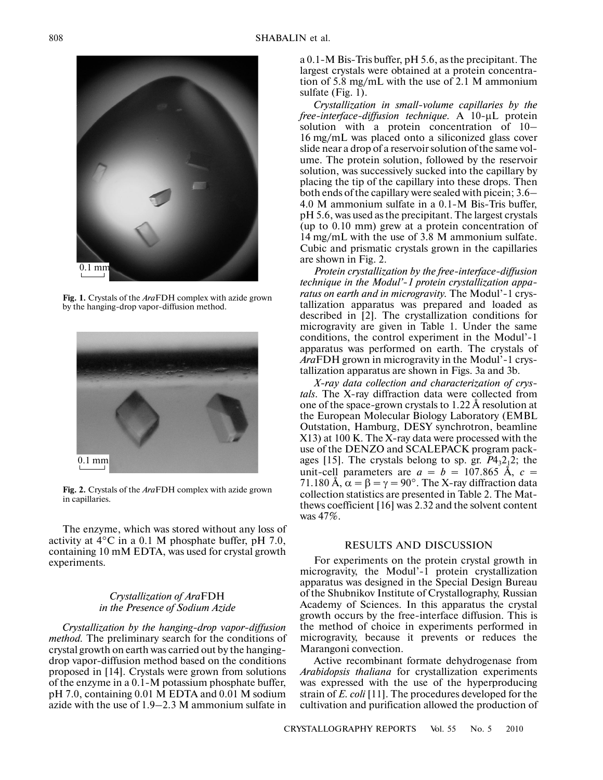

**Fig. 1.** Crystals of the *Ara*FDH complex with azide grown by the hanging-drop vapor-diffusion method.



**Fig. 2.** Crystals of the *Ara*FDH complex with azide grown in capillaries.

The enzyme, which was stored without any loss of activity at 4°С in a 0.1 M phosphate buffer, pH 7.0, containing 10 mM EDTA, was used for crystal growth experiments.

### *Crystallization of Ara*FDH *in the Presence of Sodium Azide*

*Crystallization by the hanging-drop vapor-diffusion method.* The preliminary search for the conditions of crystal growth on earth was carried out by the hanging drop vapor-diffusion method based on the conditions proposed in [14]. Crystals were grown from solutions of the enzyme in a 0.1-M potassium phosphate buffer, pH 7.0, containing 0.01 M EDTA and 0.01 M sodium azide with the use of 1.9–2.3 M ammonium sulfate in

a 0.1-M Bis-Tris buffer, pH 5.6, as the precipitant. The largest crystals were obtained at a protein concentra tion of 5.8 mg/mL with the use of 2.1 M ammonium sulfate (Fig. 1).

*Crystallization in small-volume capillaries by the free-interface-diffusion technique.* A 10-µL protein solution with a protein concentration of 10– 16 mg/mL was placed onto a siliconized glass cover slide near a drop of a reservoir solution of the same vol ume. The protein solution, followed by the reservoir solution, was successively sucked into the capillary by placing the tip of the capillary into these drops. Then both ends of the capillary were sealed with picein; 3.6– 4.0 M ammonium sulfate in a 0.1-M Bis-Tris buffer, pH 5.6, was used as the precipitant. The largest crystals (up to 0.10 mm) grew at a protein concentration of 14 mg/mL with the use of 3.8 M ammonium sulfate. Cubic and prismatic crystals grown in the capillaries are shown in Fig. 2.

*Protein crystallization by the free-interface-diffusion technique in the Modul'-1 protein crystallization appa ratus on earth and in microgravity.* The Modul'-1 crys tallization apparatus was prepared and loaded as described in [2]. The crystallization conditions for microgravity are given in Table 1. Under the same conditions, the control experiment in the Modul'-1 apparatus was performed on earth. The crystals of *Ara*FDH grown in microgravity in the Modul'-1 crys tallization apparatus are shown in Figs. 3a and 3b.

*X-ray data collection and characterization of crys tals*. The X-ray diffraction data were collected from one of the space-grown crystals to 1.22 Å resolution at the European Molecular Biology Laboratory (EMBL Outstation, Hamburg, DESY synchrotron, beamline X13) at 100 K. The X-ray data were processed with the use of the DENZO and SCALEPACK program pack ages [15]. The crystals belong to sp. gr.  $P4<sub>3</sub>2<sub>1</sub>2$ ; the unit-cell parameters are  $a = b = 107.865$  Å,  $c =$ 71.180 Å, α *=* β *=* γ *=* 90°. The X-ray diffraction data collection statistics are presented in Table 2. The Mat thews coefficient [16] was 2.32 and the solvent content was 47%.

#### RESULTS AND DISCUSSION

For experiments on the protein crystal growth in microgravity, the Modul'-1 protein crystallization apparatus was designed in the Special Design Bureau of the Shubnikov Institute of Crystallography, Russian Academy of Sciences. In this apparatus the crystal growth occurs by the free-interface diffusion. This is the method of choice in experiments performed in microgravity, because it prevents or reduces the Marangoni convection.

Active recombinant formate dehydrogenase from *Arabidopsis thaliana* for crystallization experiments was expressed with the use of the hyperproducing strain of *E. coli* [11]. The procedures developed for the cultivation and purification allowed the production of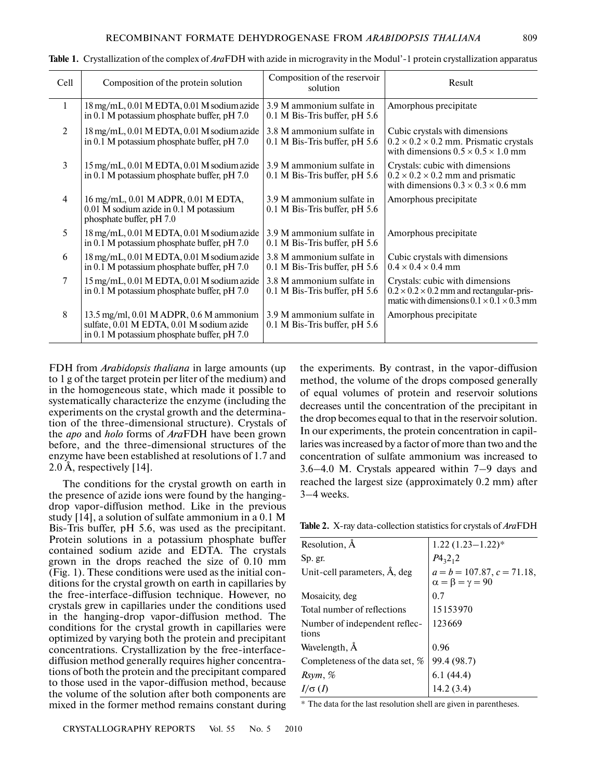| Cell           | Composition of the protein solution                                                                                                     | Composition of the reservoir<br>solution                     | Result                                                                                                                                          |
|----------------|-----------------------------------------------------------------------------------------------------------------------------------------|--------------------------------------------------------------|-------------------------------------------------------------------------------------------------------------------------------------------------|
| 1              | 18 mg/mL, 0.01 M EDTA, 0.01 M sodium azide<br>in 0.1 M potassium phosphate buffer, pH 7.0                                               | 3.9 M ammonium sulfate in<br>$0.1$ M Bis-Tris buffer, pH 5.6 | Amorphous precipitate                                                                                                                           |
| 2              | 18 mg/mL, 0.01 M EDTA, 0.01 M sodium azide<br>in 0.1 M potassium phosphate buffer, pH 7.0                                               | 3.8 M ammonium sulfate in<br>$0.1$ M Bis-Tris buffer, pH 5.6 | Cubic crystals with dimensions<br>$0.2 \times 0.2 \times 0.2$ mm. Prismatic crystals<br>with dimensions $0.5 \times 0.5 \times 1.0$ mm          |
| $\overline{3}$ | 15 mg/mL, 0.01 M EDTA, 0.01 M sodium azide<br>in 0.1 M potassium phosphate buffer, pH 7.0                                               | 3.9 M ammonium sulfate in<br>$0.1$ M Bis-Tris buffer, pH 5.6 | Crystals: cubic with dimensions<br>$0.2 \times 0.2 \times 0.2$ mm and prismatic<br>with dimensions $0.3 \times 0.3 \times 0.6$ mm               |
| $\overline{4}$ | 16 mg/mL, 0.01 M ADPR, 0.01 M EDTA,<br>0.01 M sodium azide in 0.1 M potassium<br>phosphate buffer, pH 7.0                               | 3.9 M ammonium sulfate in<br>$0.1$ M Bis-Tris buffer, pH 5.6 | Amorphous precipitate                                                                                                                           |
| 5              | $18 \,\mathrm{mg/mL}$ , 0.01 M EDTA, 0.01 M sodium azide<br>in 0.1 M potassium phosphate buffer, pH 7.0                                 | 3.9 M ammonium sulfate in<br>$0.1$ M Bis-Tris buffer, pH 5.6 | Amorphous precipitate                                                                                                                           |
| 6              | 18 mg/mL, 0.01 M EDTA, 0.01 M sodium azide<br>in 0.1 M potassium phosphate buffer, pH 7.0                                               | 3.8 M ammonium sulfate in<br>$0.1$ M Bis-Tris buffer, pH 5.6 | Cubic crystals with dimensions<br>$0.4 \times 0.4 \times 0.4$ mm                                                                                |
| 7              | 15 mg/mL, 0.01 M EDTA, 0.01 M sodium azide<br>in 0.1 M potassium phosphate buffer, pH 7.0                                               | 3.8 M ammonium sulfate in<br>$0.1$ M Bis-Tris buffer, pH 5.6 | Crystals: cubic with dimensions<br>$0.2 \times 0.2 \times 0.2$ mm and rectangular-pris-<br>matic with dimensions $0.1 \times 0.1 \times 0.3$ mm |
| 8              | 13.5 mg/ml, $0.01$ M ADPR, $0.6$ M ammonium<br>sulfate, 0.01 M EDTA, 0.01 M sodium azide<br>in 0.1 M potassium phosphate buffer, pH 7.0 | 3.9 M ammonium sulfate in<br>$0.1$ M Bis-Tris buffer, pH 5.6 | Amorphous precipitate                                                                                                                           |

**Table 1.** Crystallization of the complex of *Ara*FDH with azide in microgravity in the Modul'1 protein crystallization apparatus

FDH from *Arabidopsis thaliana* in large amounts (up to 1 g of the target protein per liter of the medium) and in the homogeneous state, which made it possible to systematically characterize the enzyme (including the experiments on the crystal growth and the determina tion of the three-dimensional structure). Crystals of the *apo* and *holo* forms of *Ara*FDH have been grown before, and the three-dimensional structures of the enzyme have been established at resolutions of 1.7 and 2.0 Å, respectively [14].

The conditions for the crystal growth on earth in the presence of azide ions were found by the hanging drop vapor-diffusion method. Like in the previous study [14], a solution of sulfate ammonium in a 0.1 M Bis-Tris buffer, pH 5.6, was used as the precipitant. Protein solutions in a potassium phosphate buffer contained sodium azide and EDTA. The crystals grown in the drops reached the size of 0.10 mm (Fig. 1). These conditions were used as the initial con ditions for the crystal growth on earth in capillaries by the free-interface-diffusion technique. However, no crystals grew in capillaries under the conditions used in the hanging-drop vapor-diffusion method. The conditions for the crystal growth in capillaries were optimized by varying both the protein and precipitant concentrations. Crystallization by the free-interface diffusion method generally requires higher concentra tions of both the protein and the precipitant compared to those used in the vapor-diffusion method, because the volume of the solution after both components are mixed in the former method remains constant during

the experiments. By contrast, in the vapor-diffusion method, the volume of the drops composed generally of equal volumes of protein and reservoir solutions decreases until the concentration of the precipitant in the drop becomes equal to that in the reservoir solution. In our experiments, the protein concentration in capil laries was increased by a factor of more than two and the concentration of sulfate ammonium was increased to 3.6–4.0 M. Crystals appeared within 7–9 days and reached the largest size (approximately 0.2 mm) after 3–4 weeks.

Table 2. X-ray data-collection statistics for crystals of *AraFDH* 

| Resolution, A                          | $1.22(1.23 - 1.22)^*$                                          |  |
|----------------------------------------|----------------------------------------------------------------|--|
| Sp. gr.                                | $P_{{}^{4}3}2_{1}2$                                            |  |
| Unit-cell parameters, Å, deg           | $a = b = 107.87, c = 71.18,$<br>$\alpha = \beta = \gamma = 90$ |  |
| Mosaicity, deg                         | 0.7                                                            |  |
| Total number of reflections            | 15153970                                                       |  |
| Number of independent reflec-<br>tions | 123669                                                         |  |
| Wavelength, Å                          | 0.96                                                           |  |
| Completeness of the data set, $%$      | 99.4 (98.7)                                                    |  |
| Rsym, %                                | $6.1(44.4)$<br>$14.2(3.4)$                                     |  |
| $I/\sigma(I)$                          |                                                                |  |

\* The data for the last resolution shell are given in parentheses.